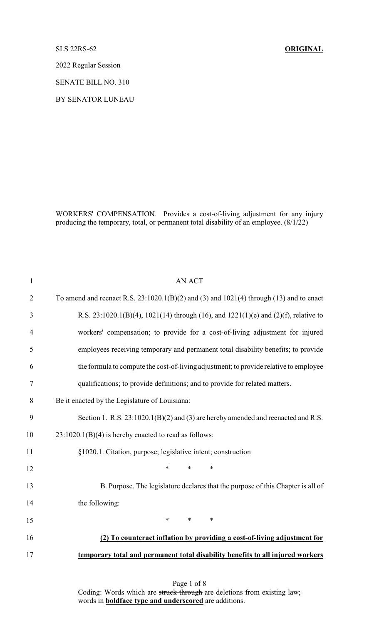SLS 22RS-62 **ORIGINAL**

2022 Regular Session

SENATE BILL NO. 310

BY SENATOR LUNEAU

WORKERS' COMPENSATION. Provides a cost-of-living adjustment for any injury producing the temporary, total, or permanent total disability of an employee. (8/1/22)

| $\mathbf{1}$   | <b>AN ACT</b>                                                                             |
|----------------|-------------------------------------------------------------------------------------------|
| $\overline{2}$ | To amend and reenact R.S. $23:1020.1(B)(2)$ and (3) and 1021(4) through (13) and to enact |
| 3              | R.S. 23:1020.1(B)(4), 1021(14) through (16), and 1221(1)(e) and (2)(f), relative to       |
| 4              | workers' compensation; to provide for a cost-of-living adjustment for injured             |
| 5              | employees receiving temporary and permanent total disability benefits; to provide         |
| 6              | the formula to compute the cost-of-living adjustment; to provide relative to employee     |
| 7              | qualifications; to provide definitions; and to provide for related matters.               |
| 8              | Be it enacted by the Legislature of Louisiana:                                            |
| 9              | Section 1. R.S. 23:1020.1(B)(2) and (3) are hereby amended and reenacted and R.S.         |
| 10             | $23:1020.1(B)(4)$ is hereby enacted to read as follows:                                   |
| 11             | §1020.1. Citation, purpose; legislative intent; construction                              |
| 12             | $\ast$<br>$\ast$<br>$\ast$                                                                |
| 13             | B. Purpose. The legislature declares that the purpose of this Chapter is all of           |
| 14             | the following:                                                                            |
| 15             | $\ast$<br>$*$ and $*$<br>$\ast$                                                           |
| 16             | (2) To counteract inflation by providing a cost-of-living adjustment for                  |
| 17             | temporary total and permanent total disability benefits to all injured workers            |
|                |                                                                                           |

Page 1 of 8 Coding: Words which are struck through are deletions from existing law; words in **boldface type and underscored** are additions.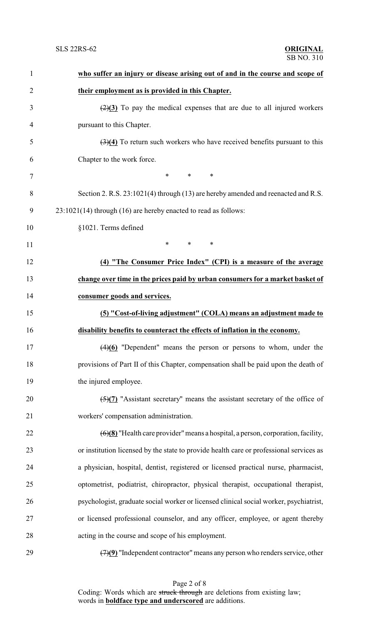| $\mathbf{1}$   | who suffer an injury or disease arising out of and in the course and scope of                        |
|----------------|------------------------------------------------------------------------------------------------------|
| $\overline{2}$ | their employment as is provided in this Chapter.                                                     |
| 3              | $\left(\frac{2}{3}\right)$ To pay the medical expenses that are due to all injured workers           |
| 4              | pursuant to this Chapter.                                                                            |
| 5              | $\left(\frac{3}{4}\right)$ To return such workers who have received benefits pursuant to this        |
| 6              | Chapter to the work force.                                                                           |
| $\tau$         | $\ast$<br>$\ast$<br>∗                                                                                |
| 8              | Section 2. R.S. 23:1021(4) through (13) are hereby amended and reenacted and R.S.                    |
| 9              | $23:1021(14)$ through (16) are hereby enacted to read as follows:                                    |
| 10             | §1021. Terms defined                                                                                 |
| 11             | $\ast$<br>$\ast$<br>$\ast$                                                                           |
| 12             | (4) "The Consumer Price Index" (CPI) is a measure of the average                                     |
| 13             | change over time in the prices paid by urban consumers for a market basket of                        |
| 14             | consumer goods and services.                                                                         |
| 15             | (5) "Cost-of-living adjustment" (COLA) means an adjustment made to                                   |
| 16             | disability benefits to counteract the effects of inflation in the economy.                           |
| 17             | $(4)(6)$ "Dependent" means the person or persons to whom, under the                                  |
| 18             | provisions of Part II of this Chapter, compensation shall be paid upon the death of                  |
| 19             | the injured employee.                                                                                |
| 20             | $\frac{5}{(2)}$ "Assistant secretary" means the assistant secretary of the office of                 |
| 21             | workers' compensation administration.                                                                |
| 22             | $\left(\frac{6}{8}\right)$ "Health care provider" means a hospital, a person, corporation, facility, |
| 23             | or institution licensed by the state to provide health care or professional services as              |
| 24             | a physician, hospital, dentist, registered or licensed practical nurse, pharmacist,                  |
| 25             | optometrist, podiatrist, chiropractor, physical therapist, occupational therapist,                   |
| 26             | psychologist, graduate social worker or licensed clinical social worker, psychiatrist,               |
| 27             | or licensed professional counselor, and any officer, employee, or agent thereby                      |
| 28             | acting in the course and scope of his employment.                                                    |
| 29             | $\left(\frac{7}{9}\right)$ "Independent contractor" means any person who renders service, other      |

Page 2 of 8 Coding: Words which are struck through are deletions from existing law; words in **boldface type and underscored** are additions.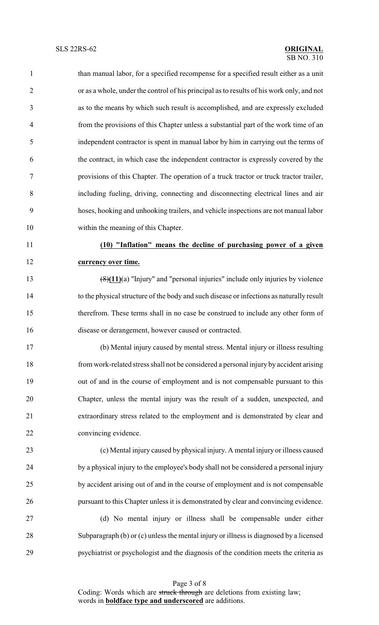than manual labor, for a specified recompense for a specified result either as a unit or as a whole, under the control of his principal as to results of his work only, and not as to the means by which such result is accomplished, and are expressly excluded from the provisions of this Chapter unless a substantial part of the work time of an independent contractor is spent in manual labor by him in carrying out the terms of the contract, in which case the independent contractor is expressly covered by the provisions of this Chapter. The operation of a truck tractor or truck tractor trailer, including fueling, driving, connecting and disconnecting electrical lines and air hoses, hooking and unhooking trailers, and vehicle inspections are not manual labor within the meaning of this Chapter. **(10) "Inflation" means the decline of purchasing power of a given currency over time.** (8)**(11)**(a) "Injury" and "personal injuries" include only injuries by violence to the physical structure of the body and such disease or infections as naturally result therefrom. These terms shall in no case be construed to include any other form of disease or derangement, however caused or contracted. (b) Mental injury caused by mental stress. Mental injury or illness resulting from work-related stress shall not be considered a personal injury by accident arising out of and in the course of employment and is not compensable pursuant to this Chapter, unless the mental injury was the result of a sudden, unexpected, and

 extraordinary stress related to the employment and is demonstrated by clear and convincing evidence.

 (c) Mental injury caused by physical injury. A mental injury or illness caused 24 by a physical injury to the employee's body shall not be considered a personal injury by accident arising out of and in the course of employment and is not compensable pursuant to this Chapter unless it is demonstrated by clear and convincing evidence.

 (d) No mental injury or illness shall be compensable under either Subparagraph (b) or (c) unless the mental injury or illness is diagnosed by a licensed psychiatrist or psychologist and the diagnosis of the condition meets the criteria as

Page 3 of 8 Coding: Words which are struck through are deletions from existing law; words in **boldface type and underscored** are additions.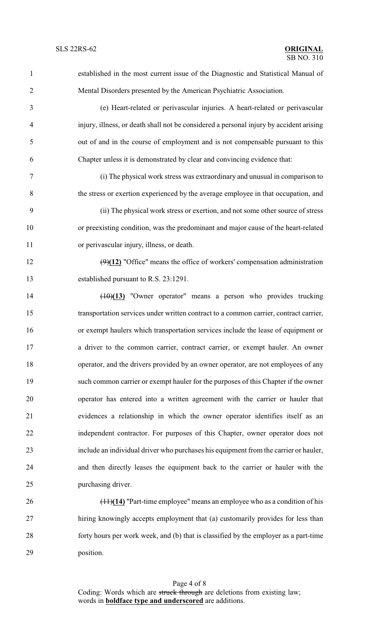| $\mathbf{1}$   | established in the most current issue of the Diagnostic and Statistical Manual of       |
|----------------|-----------------------------------------------------------------------------------------|
| $\overline{2}$ | Mental Disorders presented by the American Psychiatric Association.                     |
| 3              | (e) Heart-related or perivascular injuries. A heart-related or perivascular             |
| $\overline{4}$ | injury, illness, or death shall not be considered a personal injury by accident arising |
| 5              | out of and in the course of employment and is not compensable pursuant to this          |
| 6              | Chapter unless it is demonstrated by clear and convincing evidence that:                |
| $\tau$         | (i) The physical work stress was extraordinary and unusual in comparison to             |
| 8              | the stress or exertion experienced by the average employee in that occupation, and      |
| 9              | (ii) The physical work stress or exertion, and not some other source of stress          |
| 10             | or preexisting condition, was the predominant and major cause of the heart-related      |
| 11             | or perivascular injury, illness, or death.                                              |
| 12             | $(9)(12)$ "Office" means the office of workers' compensation administration             |
| 13             | established pursuant to R.S. 23:1291.                                                   |
| 14             | $(10)(13)$ "Owner operator" means a person who provides trucking                        |
| 15             | transportation services under written contract to a common carrier, contract carrier,   |
| 16             | or exempt haulers which transportation services include the lease of equipment or       |
| 17             | a driver to the common carrier, contract carrier, or exempt hauler. An owner            |
| 18             | operator, and the drivers provided by an owner operator, are not employees of any       |
| 19             | such common carrier or exempt hauler for the purposes of this Chapter if the owner      |
| 20             | operator has entered into a written agreement with the carrier or hauler that           |
| 21             | evidences a relationship in which the owner operator identifies itself as an            |
| 22             | independent contractor. For purposes of this Chapter, owner operator does not           |
| 23             | include an individual driver who purchases his equipment from the carrier or hauler,    |
| 24             | and then directly leases the equipment back to the carrier or hauler with the           |
| 25             | purchasing driver.                                                                      |
| 26             | $(11)(14)$ "Part-time employee" means an employee who as a condition of his             |
| 27             | hiring knowingly accepts employment that (a) customarily provides for less than         |
| 28             | forty hours per work week, and (b) that is classified by the employer as a part-time    |

position.

Page 4 of 8 Coding: Words which are struck through are deletions from existing law; words in **boldface type and underscored** are additions.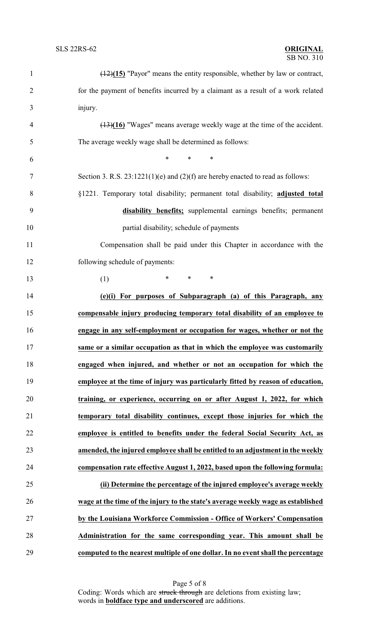| $\mathbf{1}$   | $\frac{(12)(15)}{2}$ "Payor" means the entity responsible, whether by law or contract, |
|----------------|----------------------------------------------------------------------------------------|
| $\overline{2}$ | for the payment of benefits incurred by a claimant as a result of a work related       |
| 3              | injury.                                                                                |
| 4              | $(13)(16)$ "Wages" means average weekly wage at the time of the accident.              |
| 5              | The average weekly wage shall be determined as follows:                                |
| 6              | $\ast$<br>$\ast$<br>$\ast$                                                             |
| $\tau$         | Section 3. R.S. $23:1221(1)(e)$ and $(2)(f)$ are hereby enacted to read as follows:    |
| 8              | §1221. Temporary total disability; permanent total disability; adjusted total          |
| 9              | disability benefits; supplemental earnings benefits; permanent                         |
| 10             | partial disability; schedule of payments                                               |
| 11             | Compensation shall be paid under this Chapter in accordance with the                   |
| 12             | following schedule of payments:                                                        |
| 13             | $\ast$<br>$\ast$<br>$\ast$<br>(1)                                                      |
| 14             | (e)(i) For purposes of Subparagraph (a) of this Paragraph, any                         |
| 15             | compensable injury producing temporary total disability of an employee to              |
| 16             | engage in any self-employment or occupation for wages, whether or not the              |
| 17             | same or a similar occupation as that in which the employee was customarily             |
| 18             | engaged when injured, and whether or not an occupation for which the                   |
| 19             | employee at the time of injury was particularly fitted by reason of education,         |
| 20             | training, or experience, occurring on or after August 1, 2022, for which               |
| 21             | temporary total disability continues, except those injuries for which the              |
| 22             | employee is entitled to benefits under the federal Social Security Act, as             |
| 23             | amended, the injured employee shall be entitled to an adjustment in the weekly         |
| 24             | compensation rate effective August 1, 2022, based upon the following formula:          |
| 25             | (ii) Determine the percentage of the injured employee's average weekly                 |
| 26             | wage at the time of the injury to the state's average weekly wage as established       |
| 27             | by the Louisiana Workforce Commission - Office of Workers' Compensation                |
| 28             | Administration for the same corresponding year. This amount shall be                   |
| 29             | computed to the nearest multiple of one dollar. In no event shall the percentage       |

Page 5 of 8 Coding: Words which are struck through are deletions from existing law; words in **boldface type and underscored** are additions.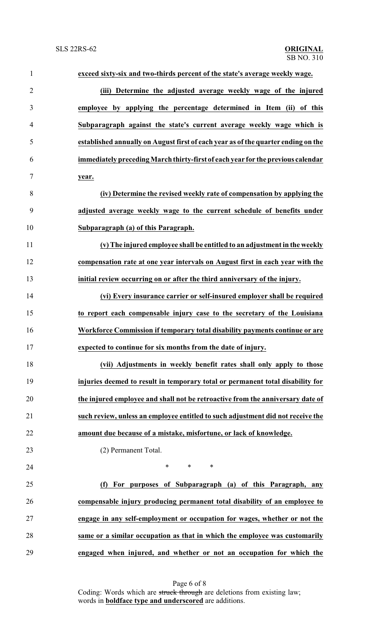| $\mathbf{1}$   | exceed sixty-six and two-thirds percent of the state's average weekly wage.       |
|----------------|-----------------------------------------------------------------------------------|
| $\overline{2}$ | (iii) Determine the adjusted average weekly wage of the injured                   |
| 3              | employee by applying the percentage determined in Item (ii) of this               |
| $\overline{4}$ | Subparagraph against the state's current average weekly wage which is             |
| 5              | established annually on August first of each year as of the quarter ending on the |
| 6              | immediately preceding March thirty-first of each year for the previous calendar   |
| 7              | year.                                                                             |
| 8              | (iv) Determine the revised weekly rate of compensation by applying the            |
| 9              | adjusted average weekly wage to the current schedule of benefits under            |
| 10             | Subparagraph (a) of this Paragraph.                                               |
| 11             | (v) The injured employee shall be entitled to an adjustment in the weekly         |
| 12             | compensation rate at one year intervals on August first in each year with the     |
| 13             | initial review occurring on or after the third anniversary of the injury.         |
| 14             | (vi) Every insurance carrier or self-insured employer shall be required           |
| 15             | to report each compensable injury case to the secretary of the Louisiana          |
| 16             | Workforce Commission if temporary total disability payments continue or are       |
| 17             | expected to continue for six months from the date of injury.                      |
| 18             | (vii) Adjustments in weekly benefit rates shall only apply to those               |
| 19             | injuries deemed to result in temporary total or permanent total disability for    |
| 20             | the injured employee and shall not be retroactive from the anniversary date of    |
| 21             | such review, unless an employee entitled to such adjustment did not receive the   |
| 22             | amount due because of a mistake, misfortune, or lack of knowledge.                |
| 23             | (2) Permanent Total.                                                              |
| 24             | $*$ $*$<br>$\ast$<br>∗                                                            |
| 25             | (f) For purposes of Subparagraph (a) of this Paragraph, any                       |
| 26             | compensable injury producing permanent total disability of an employee to         |
| 27             | engage in any self-employment or occupation for wages, whether or not the         |
| 28             | same or a similar occupation as that in which the employee was customarily        |
| 29             | engaged when injured, and whether or not an occupation for which the              |
|                |                                                                                   |

Page 6 of 8 Coding: Words which are struck through are deletions from existing law; words in **boldface type and underscored** are additions.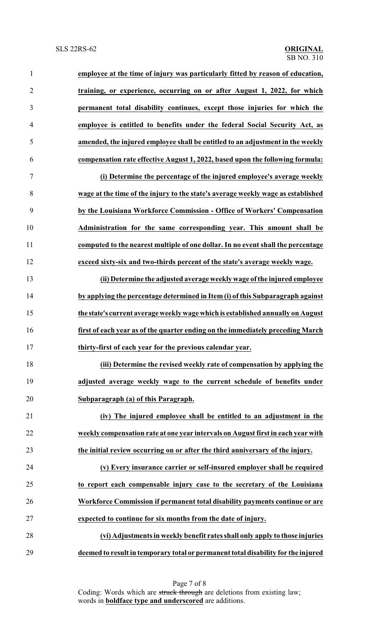**employee at the time of injury was particularly fitted by reason of education, training, or experience, occurring on or after August 1, 2022, for which permanent total disability continues, except those injuries for which the employee is entitled to benefits under the federal Social Security Act, as amended, the injured employee shall be entitled to an adjustment in the weekly compensation rate effective August 1, 2022, based upon the following formula: (i) Determine the percentage of the injured employee's average weekly wage at the time of the injury to the state's average weekly wage as established by the Louisiana Workforce Commission - Office of Workers' Compensation Administration for the same corresponding year. This amount shall be computed to the nearest multiple of one dollar. In no event shall the percentage exceed sixty-six and two-thirds percent of the state's average weekly wage. (ii) Determine the adjusted average weekly wage ofthe injured employee by applying the percentage determined in Item (i) of this Subparagraph against the state's current average weekly wage which is established annually on August first of each year as of the quarter ending on the immediately preceding March thirty-first of each year for the previous calendar year. (iii) Determine the revised weekly rate of compensation by applying the adjusted average weekly wage to the current schedule of benefits under Subparagraph (a) of this Paragraph. (iv) The injured employee shall be entitled to an adjustment in the weekly compensation rate at one year intervals on August first in each year with the initial review occurring on or after the third anniversary of the injury. (v) Every insurance carrier or self-insured employer shall be required to report each compensable injury case to the secretary of the Louisiana Workforce Commission if permanent total disability payments continue or are expected to continue for six months from the date of injury. (vi) Adjustments in weekly benefit rates shall only apply to those injuries deemed to result in temporary total or permanent total disability for the injured**

> Page 7 of 8 Coding: Words which are struck through are deletions from existing law; words in **boldface type and underscored** are additions.